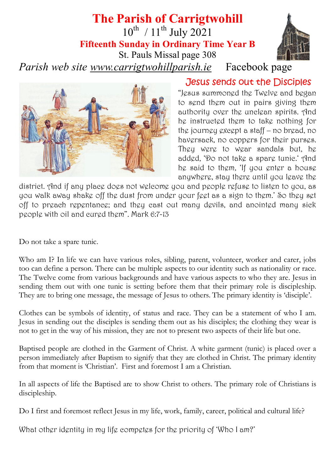# **The Parish of Carrigtwohill**

 $10^{th}$  /  $11^{th}$  July 2021

**Fifteenth Sunday in Ordinary Time Year B**

St. Pauls Missal page 308

*Parish web site [www.carrigtwohillparish.ie](http://www.carrigtwohillparish.ie/)* Facebook page



Jesus sends out the Disciples

"Jesus summoned the Twelve and began to send them out in pairs giving them authority over the unclean spirits. And he instructed them to take nothing for the journey except a staff – no bread, no haversack, no coppers for their purses. They were to wear sandals but, he added, 'Do not take a spare tunic.' And he said to them, 'If you enter a house anywhere, stay there until you leave the

district. And if any place does not welcome you and people refuse to listen to you, as you walk away shake off the dust from under your feet as a sign to them.' So they set off to preach repentance; and they cast out many devils, and anointed many sick people with oil and cured them". Mark 6:7-13

Do not take a spare tunic.

Who am I? In life we can have various roles, sibling, parent, volunteer, worker and carer, jobs too can define a person. There can be multiple aspects to our identity such as nationality or race. The Twelve come from various backgrounds and have various aspects to who they are. Jesus in sending them out with one tunic is setting before them that their primary role is discipleship. They are to bring one message, the message of Jesus to others. The primary identity is 'disciple'.

Clothes can be symbols of identity, of status and race. They can be a statement of who I am. Jesus in sending out the disciples is sending them out as his disciples; the clothing they wear is not to get in the way of his mission, they are not to present two aspects of their life but one.

Baptised people are clothed in the Garment of Christ. A white garment (tunic) is placed over a person immediately after Baptism to signify that they are clothed in Christ. The primary identity from that moment is 'Christian'. First and foremost I am a Christian.

In all aspects of life the Baptised are to show Christ to others. The primary role of Christians is discipleship.

Do I first and foremost reflect Jesus in my life, work, family, career, political and cultural life?

What other identity in my life competes for the priority of 'Who I am?'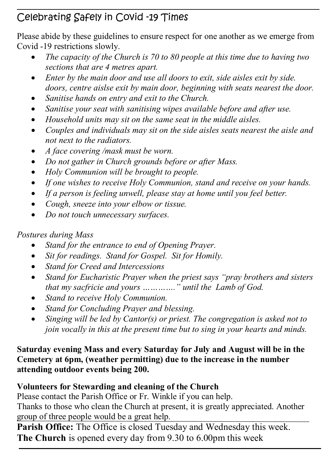# Celebrating Safely in Covid -19 Times

Please abide by these guidelines to ensure respect for one another as we emerge from Covid -19 restrictions slowly.

- *The capacity of the Church is 70 to 80 people at this time due to having two sections that are 4 metres apart.*
- *Enter by the main door and use all doors to exit, side aisles exit by side. doors, centre aislse exit by main door, beginning with seats nearest the door.*
- *Sanitise hands on entry and exit to the Church.*
- *Sanitise your seat with sanitising wipes available before and after use.*
- *Household units may sit on the same seat in the middle aisles.*
- *Couples and individuals may sit on the side aisles seats nearest the aisle and not next to the radiators.*
- *A face covering /mask must be worn.*
- *Do not gather in Church grounds before or after Mass.*
- *Holy Communion will be brought to people.*
- *If one wishes to receive Holy Communion, stand and receive on your hands.*
- *If a person is feeling unwell, please stay at home until you feel better.*
- *Cough, sneeze into your elbow or tissue.*
- *Do not touch unnecessary surfaces.*

# *Postures during Mass*

- *Stand for the entrance to end of Opening Prayer.*
- *Sit for readings. Stand for Gospel. Sit for Homily.*
- *Stand for Creed and Intercessions*
- *Stand for Eucharistic Prayer when the priest says "pray brothers and sisters that my sacfricie and yours …………." until the Lamb of God.*
- *Stand to receive Holy Communion.*
- *Stand for Concluding Prayer and blessing.*
- *Singing will be led by Cantor(s) or priest. The congregation is asked not to join vocally in this at the present time but to sing in your hearts and minds.*

#### **Saturday evening Mass and every Saturday for July and August will be in the Cemetery at 6pm, (weather permitting) due to the increase in the number attending outdoor events being 200.**

# **Volunteers for Stewarding and cleaning of the Church**

Please contact the Parish Office or Fr. Winkle if you can help.

Thanks to those who clean the Church at present, it is greatly appreciated. Another group of three people would be a great help.

**Parish Office:** The Office is closed Tuesday and Wednesday this week. **The Church** is opened every day from 9.30 to 6.00pm this week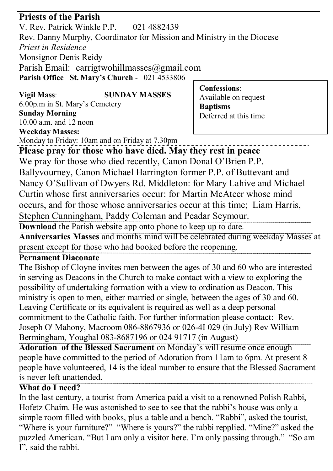### **Priests of the Parish**

V. Rev. Patrick Winkle P.P. 021 4882439 Rev. Danny Murphy, Coordinator for Mission and Ministry in the Diocese *Priest in Residence* Monsignor Denis Reidy Parish Email: carrigtwohillmasses@gmail.com **Parish Office St. Mary's Church** - 021 4533806

# **Vigil Mass**: **SUNDAY MASSES** 6.00p.m in St. Mary's Cemetery **Sunday Morning** 10.00 a.m. and 12 noon

**Confessions**: Available on request **Baptisms** Deferred at this time

#### **Weekday Masses:**

Monday to Friday: 10am and on Friday at 7.30pm

**Please pray for those who have died. May they rest in peace** We pray for those who died recently, Canon Donal O'Brien P.P. Ballyvourney, Canon Michael Harrington former P.P. of Buttevant and Nancy O'Sullivan of Dwyers Rd. Middleton: for Mary Lahive and Michael Curtin whose first anniversaries occur: for Martin McAteer whose mind occurs, and for those whose anniversaries occur at this time; Liam Harris, Stephen Cunningham, Paddy Coleman and Peadar Seymour.

**Download** the Parish website app onto phone to keep up to date.

**Anniversaries Masses** and months mind will be celebrated during weekday Masses at present except for those who had booked before the reopening.

#### **Pernament Diaconate**

The Bishop of Cloyne invites men between the ages of 30 and 60 who are interested in serving as Deacons in the Church to make contact with a view to exploring the possibility of undertaking formation with a view to ordination as Deacon. This ministry is open to men, either married or single, between the ages of 30 and 60. Leaving Certificate or its equivalent is required as well as a deep personal commitment to the Catholic faith. For further information please contact: Rev. Joseph O' Mahony, Macroom 086-8867936 or 026-4I 029 (in July) Rev William Bermingham, Youghal 083-8687196 or 024 91717 (in August)

**Adoration of the Blessed Sacrament** on Monday's will resume once enough people have committed to the period of Adoration from 11am to 6pm. At present 8 people have volunteered, 14 is the ideal number to ensure that the Blessed Sacrament is never left unattended.

#### **What do I need?**

In the last century, a tourist from America paid a visit to a renowned Polish Rabbi, Hofetz Chaim. He was astonished to see to see that the rabbi's house was only a simple room filled with books, plus a table and a bench. "Rabbi", asked the tourist, "Where is your furniture?" "Where is yours?" the rabbi repplied. "Mine?" asked the puzzled American. "But I am only a visitor here. I'm only passing through." "So am I", said the rabbi.